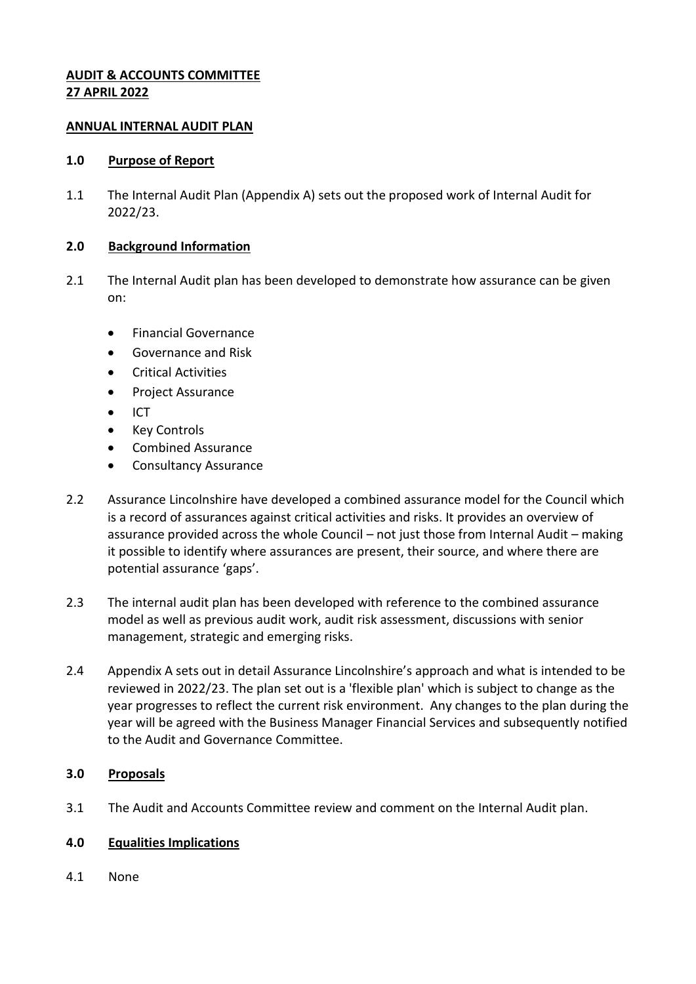# **AUDIT & ACCOUNTS COMMITTEE 27 APRIL 2022**

#### **ANNUAL INTERNAL AUDIT PLAN**

#### **1.0 Purpose of Report**

1.1 The Internal Audit Plan (Appendix A) sets out the proposed work of Internal Audit for 2022/23.

#### **2.0 Background Information**

- 2.1 The Internal Audit plan has been developed to demonstrate how assurance can be given on:
	- Financial Governance
	- Governance and Risk
	- **•** Critical Activities
	- Project Assurance
	- ICT
	- Key Controls
	- Combined Assurance
	- Consultancy Assurance
- 2.2 Assurance Lincolnshire have developed a combined assurance model for the Council which is a record of assurances against critical activities and risks. It provides an overview of assurance provided across the whole Council – not just those from Internal Audit – making it possible to identify where assurances are present, their source, and where there are potential assurance 'gaps'.
- 2.3 The internal audit plan has been developed with reference to the combined assurance model as well as previous audit work, audit risk assessment, discussions with senior management, strategic and emerging risks.
- 2.4 Appendix A sets out in detail Assurance Lincolnshire's approach and what is intended to be reviewed in 2022/23. The plan set out is a 'flexible plan' which is subject to change as the year progresses to reflect the current risk environment. Any changes to the plan during the year will be agreed with the Business Manager Financial Services and subsequently notified to the Audit and Governance Committee.

#### **3.0 Proposals**

3.1 The Audit and Accounts Committee review and comment on the Internal Audit plan.

# **4.0 Equalities Implications**

4.1 None